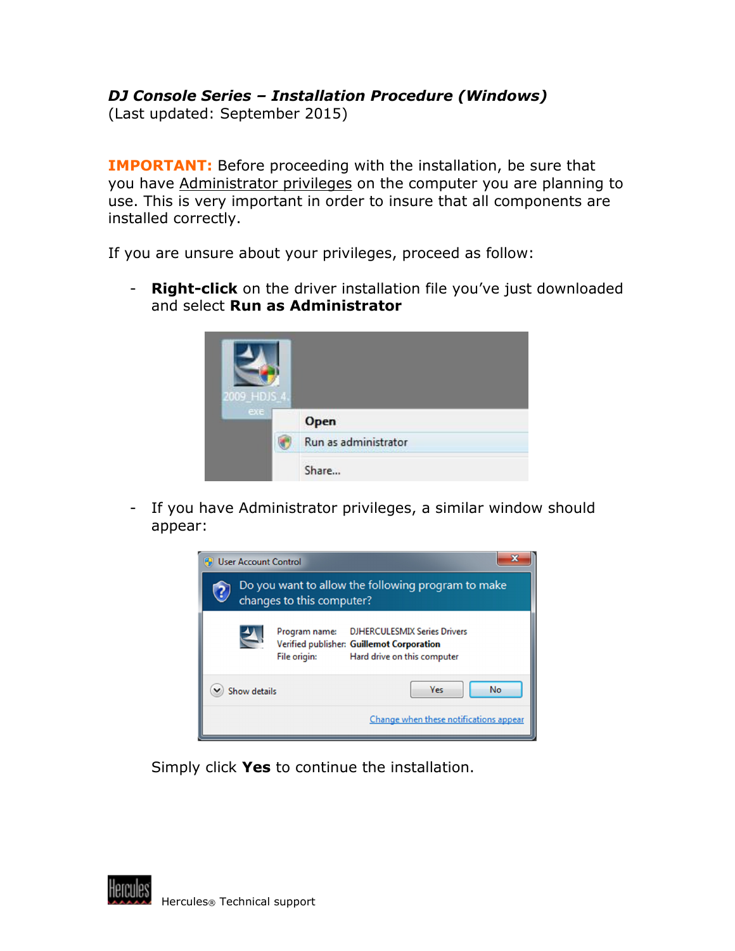## DJ Console Series – Installation Procedure (Windows)

(Last updated: September 2015)

**IMPORTANT:** Before proceeding with the installation, be sure that you have Administrator privileges on the computer you are planning to use. This is very important in order to insure that all components are installed correctly.

If you are unsure about your privileges, proceed as follow:

- Right-click on the driver installation file you've just downloaded and select **Run as Administrator** 



- If you have Administrator privileges, a similar window should appear:



Simply click Yes to continue the installation.

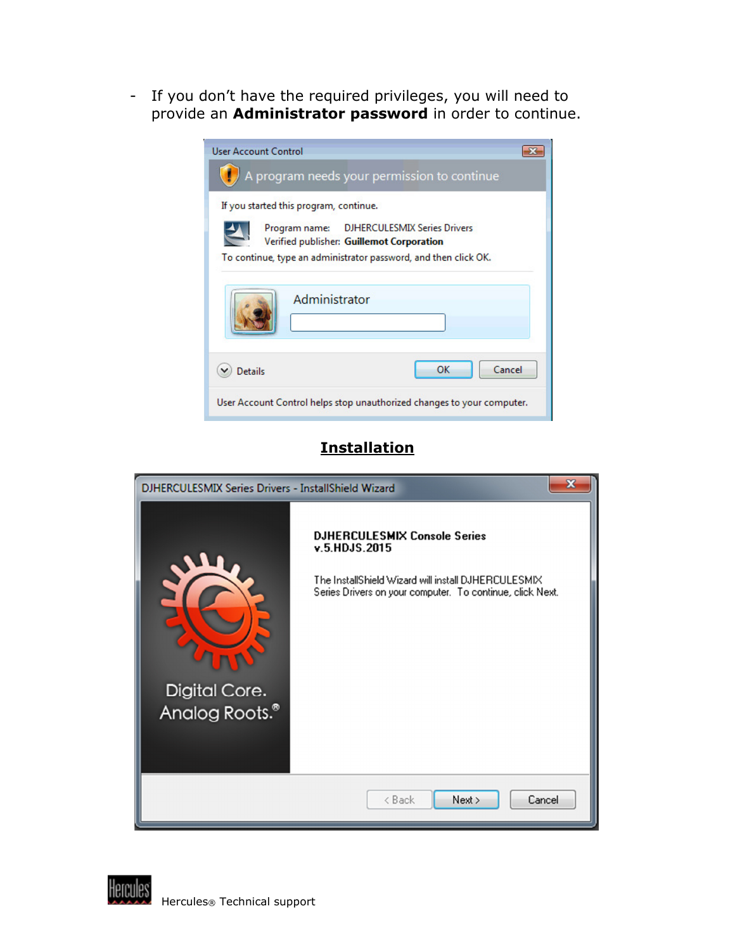- If you don't have the required privileges, you will need to provide an **Administrator password** in order to continue.

| <b>User Account Control</b>                                                                                                                                |  |  |
|------------------------------------------------------------------------------------------------------------------------------------------------------------|--|--|
| $\langle \cdot \rangle$ A program needs your permission to continue                                                                                        |  |  |
| If you started this program, continue.                                                                                                                     |  |  |
| Program name: DJHERCULESMIX Series Drivers<br>Verified publisher: Guillemot Corporation<br>To continue, type an administrator password, and then click OK. |  |  |
| Administrator                                                                                                                                              |  |  |
| OK<br>Cancel<br>Details                                                                                                                                    |  |  |
| User Account Control helps stop unauthorized changes to your computer.                                                                                     |  |  |

## **Installation**



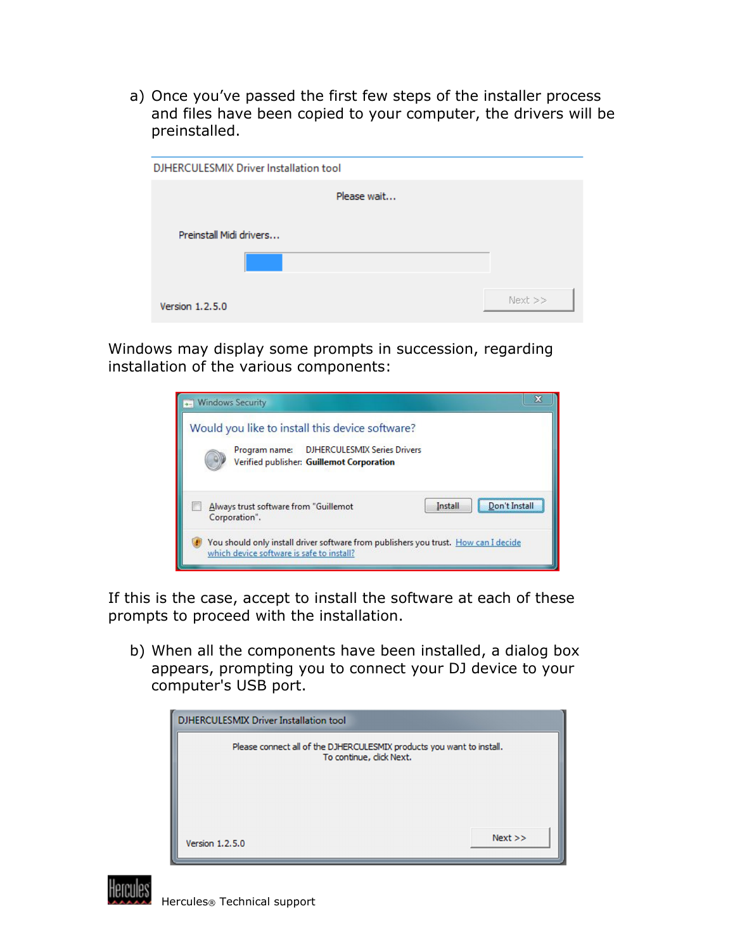a) Once you've passed the first few steps of the installer process and files have been copied to your computer, the drivers will be preinstalled.

| DJHERCULESMIX Driver Installation tool |             |
|----------------------------------------|-------------|
| Please wait                            |             |
| Preinstall Midi drivers                |             |
| Version 1.2.5.0                        | $Next$ $>>$ |

Windows may display some prompts in succession, regarding installation of the various components:



If this is the case, accept to install the software at each of these prompts to proceed with the installation.

b) When all the components have been installed, a dialog box appears, prompting you to connect your DJ device to your computer's USB port.

| <b>DJHERCULESMIX Driver Installation tool</b>                                                     |      |
|---------------------------------------------------------------------------------------------------|------|
| Please connect all of the DJHERCULESMIX products you want to install.<br>To continue, click Next. |      |
| Version 1.2.5.0                                                                                   | Next |